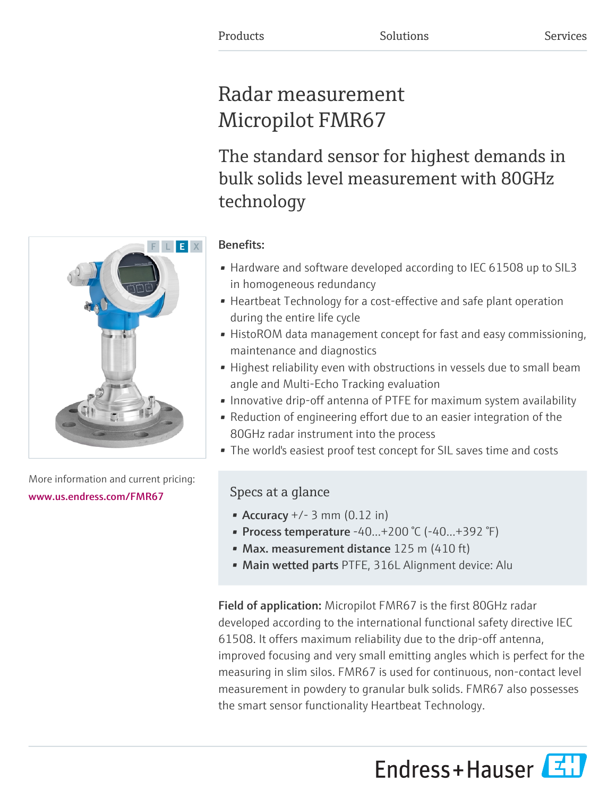# Radar measurement Micropilot FMR67

The standard sensor for highest demands in bulk solids level measurement with 80GHz technology

## Benefits:

- Hardware and software developed according to IEC 61508 up to SIL3 in homogeneous redundancy
- Heartbeat Technology for a cost-effective and safe plant operation during the entire life cycle
- HistoROM data management concept for fast and easy commissioning, maintenance and diagnostics
- Highest reliability even with obstructions in vessels due to small beam angle and Multi-Echo Tracking evaluation
- Innovative drip-off antenna of PTFE for maximum system availability
- Reduction of engineering effort due to an easier integration of the 80GHz radar instrument into the process
- The world's easiest proof test concept for SIL saves time and costs

## Specs at a glance

- Accuracy  $+/- 3$  mm (0.12 in)
- Process temperature -40…+200 °C (-40…+392 °F)
- Max. measurement distance 125 m (410 ft)
- Main wetted parts PTFE, 316L Alignment device: Alu

Field of application: Micropilot FMR67 is the first 80GHz radar developed according to the international functional safety directive IEC 61508. It offers maximum reliability due to the drip-off antenna, improved focusing and very small emitting angles which is perfect for the measuring in slim silos. FMR67 is used for continuous, non-contact level measurement in powdery to granular bulk solids. FMR67 also possesses the smart sensor functionality Heartbeat Technology.

Endress+Hauser



More information and current pricing: [www.us.endress.com/FMR67](https://www.us.endress.com/FMR67)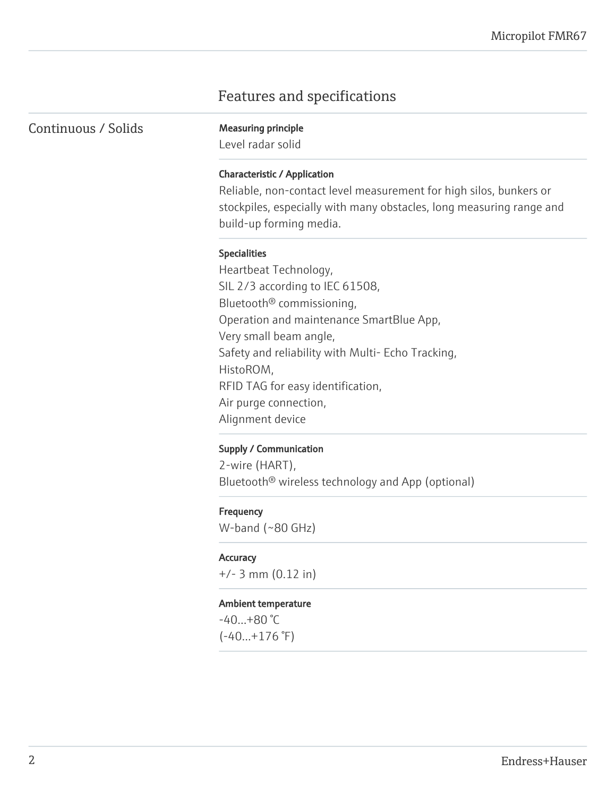## Features and specifications

Continuous / Solids Measuring principle

Level radar solid

#### Characteristic / Application

Reliable, non-contact level measurement for high silos, bunkers or stockpiles, especially with many obstacles, long measuring range and build-up forming media.

#### Specialities

Heartbeat Technology, SIL 2/3 according to IEC 61508, Bluetooth® commissioning, Operation and maintenance SmartBlue App, Very small beam angle, Safety and reliability with Multi- Echo Tracking, HistoROM, RFID TAG for easy identification, Air purge connection, Alignment device

#### Supply / Communication

2-wire (HART), Bluetooth® wireless technology and App (optional)

#### **Frequency**

W-band (~80 GHz)

#### **Accuracy**

+/- 3 mm (0.12 in)

#### Ambient temperature

-40…+80 °C  $(-40...+176)$ <sup>°</sup>F)